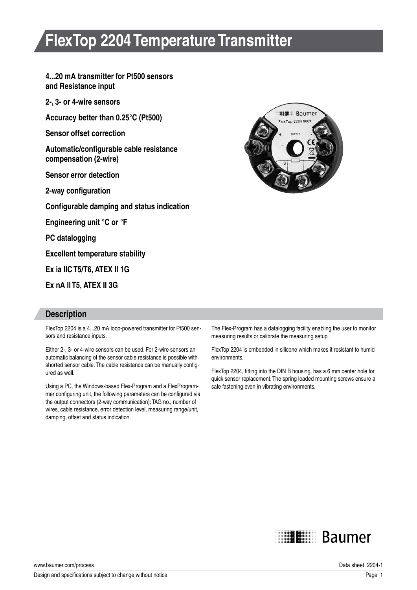# **FlexTop 2204 Temperature Transmitter**

**4...20 mA transmitter for Pt500 sensors and Resistance input**

**2-, 3- or 4-wire sensors**

**Accuracy better than 0.25°C (Pt500)**

**Sensor offset correction**

**Automatic/configurable cable resistance compensation (2-wire)**

**Sensor error detection**

**2-way configuration**

**Configurable damping and status indication**

**Engineering unit °C or °F**

**PC datalogging**

**Excellent temperature stability**

**Ex ia IIC T5/T6, ATEX II 1G** 

**Ex nA II T5, ATEX II 3G**

#### **Description**

FlexTop 2204 is a 4...20 mA loop-powered transmitter for Pt500 sensors and resistance inputs.

Either 2-, 3- or 4-wire sensors can be used. For 2-wire sensors an automatic balancing of the sensor cable resistance is possible with shorted sensor cable. The cable resistance can be manually configured as well.

Using a PC, the Windows-based Flex-Program and a FlexProgrammer configuring unit, the following parameters can be configured via the output connectors (2-way communication): TAG no., number of wires, cable resistance, error detection level, measuring range/unit, damping, offset and status indication.



The Flex-Program has a datalogging facility enabling the user to monitor measuring results or calibrate the measuring setup.

FlexTop 2204 is embedded in silicone which makes it resistant to humid environments.

FlexTop 2204, fitting into the DIN B housing, has a 6 mm center hole for quick sensor replacement. The spring loaded mounting screws ensure a safe fastening even in vibrating environments.



www.baumer.com/process **Data sheet 2204-1** www.baumer.com/process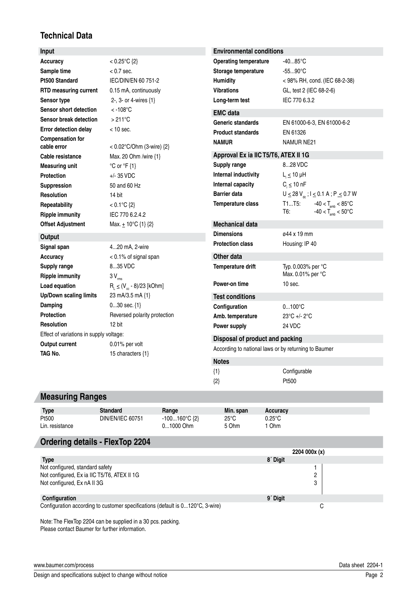## **Technical Data**

| Input                                   |                                   | <b>Environmental conditions</b>                      |                                                                                             |  |
|-----------------------------------------|-----------------------------------|------------------------------------------------------|---------------------------------------------------------------------------------------------|--|
| <b>Accuracy</b>                         | < $0.25^{\circ}C$ {2}             | <b>Operating temperature</b>                         | $-4085^{\circ}$ C                                                                           |  |
| Sample time                             | $< 0.7$ sec.                      | Storage temperature                                  | $-5590^{\circ}$ C                                                                           |  |
| <b>Pt500 Standard</b>                   | IEC/DIN/EN 60 751-2               | Humidity                                             | < 98% RH, cond. (IEC 68-2-38)                                                               |  |
| RTD measuring current                   | 0.15 mA, continuously             | <b>Vibrations</b>                                    | GL, test 2 (IEC 68-2-6)                                                                     |  |
| Sensor type                             | 2-, 3- or 4-wires {1}             | Long-term test                                       | IEC 770 6.3.2                                                                               |  |
| <b>Sensor short detection</b>           | $<$ -108 $^{\circ}$ C             | <b>EMC</b> data                                      |                                                                                             |  |
| Sensor break detection                  | $>211^{\circ}$ C                  | <b>Generic standards</b>                             | EN 61000-6-3, EN 61000-6-2                                                                  |  |
| <b>Error detection delay</b>            | $<$ 10 sec.                       | <b>Product standards</b>                             | EN 61326                                                                                    |  |
| <b>Compensation for</b>                 |                                   | <b>NAMUR</b>                                         | NAMUR NE21                                                                                  |  |
| cable error                             | < 0.02°C/Ohm (3-wire) {2}         |                                                      |                                                                                             |  |
| Cable resistance                        | Max. 20 Ohm /wire {1}             | Approval Ex ia IIC T5/T6, ATEX II 1G                 |                                                                                             |  |
| <b>Measuring unit</b>                   | $^{\circ}$ C or $^{\circ}$ F {1}  | Supply range<br>Internal inductivity                 | 828 VDC                                                                                     |  |
| <b>Protection</b>                       | $+/-$ 35 VDC                      |                                                      | $L_i \leq 10$ µH                                                                            |  |
| Suppression                             | 50 and 60 Hz                      | Internal capacity<br><b>Barrier data</b>             | $C_i \leq 10$ nF                                                                            |  |
| <b>Resolution</b>                       | 14 bit                            |                                                      | $U \le 28 V_{\text{dc}}$ ; $I \le 0.1 A$ ; $P \le 0.7 W$<br>T1T5:                           |  |
| Repeatability                           | $< 0.1^{\circ}C$ {2}              | Temperature class                                    | $-40 < T_{amb} < 85^{\circ}$ C<br>$-40 < T_{\text{amb}}^{\text{max}} < 50^{\circ}$ C<br>T6: |  |
| <b>Ripple immunity</b>                  | IEC 770 6.2.4.2                   |                                                      |                                                                                             |  |
| <b>Offset Adjustment</b>                | Max. $\pm$ 10°C {1} {2}           | <b>Mechanical data</b>                               |                                                                                             |  |
| Output                                  |                                   | <b>Dimensions</b>                                    | ø44 x 19 mm                                                                                 |  |
| Signal span                             | 420 mA, 2-wire                    | <b>Protection class</b>                              | Housing: IP 40                                                                              |  |
| <b>Accuracy</b>                         | < 0.1% of signal span             | Other data                                           |                                                                                             |  |
| <b>Supply range</b>                     | 835 VDC                           | Temperature drift                                    | Typ. 0.003% per °C                                                                          |  |
| <b>Ripple immunity</b>                  | $3V_{\text{rms}}$                 |                                                      | Max. 0.01% per °C                                                                           |  |
| Load equation                           | $R_i \leq (V_{ce} - 8)/23$ [kOhm] | Power-on time                                        | $10$ sec.                                                                                   |  |
| <b>Up/Down scaling limits</b>           | 23 mA/3.5 mA {1}                  | <b>Test conditions</b>                               |                                                                                             |  |
| Damping                                 | $030$ sec. $\{1\}$                | Configuration                                        | $0100^{\circ}C$                                                                             |  |
| <b>Protection</b>                       | Reversed polarity protection      | Amb. temperature                                     | 23°C +/- 2°C                                                                                |  |
| <b>Resolution</b>                       | 12 bit                            | Power supply                                         | 24 VDC                                                                                      |  |
| Effect of variations in supply voltage: |                                   | Disposal of product and packing                      |                                                                                             |  |
| <b>Output current</b>                   | 0.01% per volt                    | According to national laws or by returning to Baumer |                                                                                             |  |
| TAG No.                                 | 15 characters {1}                 |                                                      |                                                                                             |  |
|                                         |                                   | <b>Notes</b>                                         |                                                                                             |  |
|                                         |                                   | ${1}$                                                | Configurable                                                                                |  |

## **Measuring Ranges**

| <b>Type</b>     | <b>Standard</b>  | Range                  | Min. span      | <b>Accuracy</b>          |
|-----------------|------------------|------------------------|----------------|--------------------------|
| Pt500           | DIN/EN/IEC 60751 | $-100160^{\circ}C$ {2} | $25^{\circ}$ C | $0.25^{\circ}\mathrm{C}$ |
| Lin, resistance |                  | 01000 Ohm              | 5 Ohm          | Ohm                      |

{2} Pt500

#### **Ordering details - FlexTop 2204**

|                                                                                | 2204 000x (x)        |  |
|--------------------------------------------------------------------------------|----------------------|--|
| <b>Type</b>                                                                    | 8 <sup>'</sup> Digit |  |
| Not configured, standard safety                                                |                      |  |
| Not configured, Ex ia IIC T5/T6, ATEX II 1G                                    | っ                    |  |
| Not configured, Ex nA II 3G                                                    | 3                    |  |
| Configuration                                                                  | 9 <sup>'</sup> Digit |  |
| Configuration according to customer specifications (default is 0120°C, 3-wire) |                      |  |

Note: The FlexTop 2204 can be supplied in a 30 pcs. packing. Please contact Baumer for further information.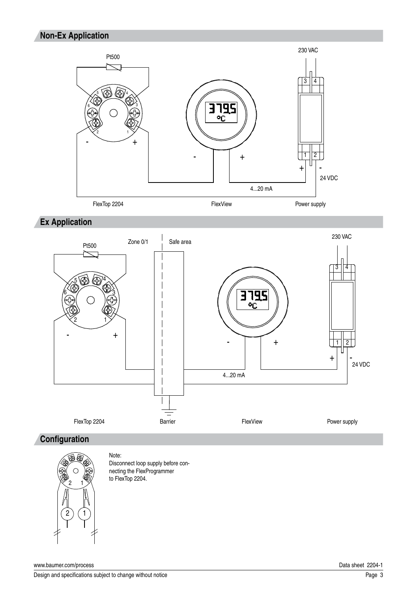### **Non-Ex Application**



**Ex Application**



#### **Configuration**



Note: Disconnect loop supply before connecting the FlexProgrammer to FlexTop 2204.

www.baumer.com/process Data sheet 2204-1